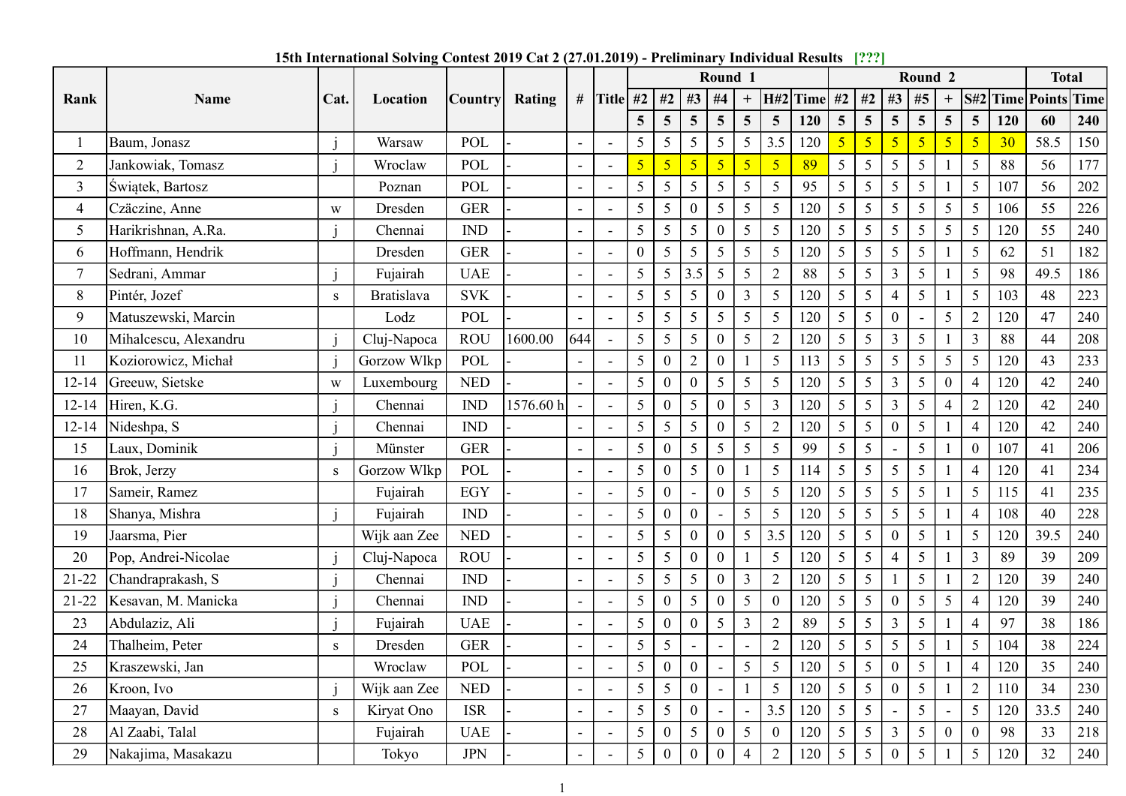|           |                       |           | 15th International Solving Contest 2019 Cat 2 (27.01.2019) - Preliminary Individual Results [???] |                |           |     |                           |                  |                  |                |                  |                                     |         |                 |                                     |                          |                            |                 |     |                             |     |
|-----------|-----------------------|-----------|---------------------------------------------------------------------------------------------------|----------------|-----------|-----|---------------------------|------------------|------------------|----------------|------------------|-------------------------------------|---------|-----------------|-------------------------------------|--------------------------|----------------------------|-----------------|-----|-----------------------------|-----|
|           |                       |           |                                                                                                   |                |           |     |                           |                  |                  |                | Round 1          |                                     |         |                 |                                     |                          | Round 2                    |                 |     | <b>Total</b>                |     |
| Rank      | Name                  | Cat.      | Location                                                                                          | <b>Country</b> | Rating    |     | # Title #2   #2   #3   #4 |                  |                  |                |                  |                                     |         |                 |                                     |                          | $+$ H#2 Time #2 #2 #3 #5 + |                 |     | <b>S#2</b> Time Points Time |     |
|           |                       |           |                                                                                                   |                |           |     |                           | $\overline{5}$   | $\overline{5}$   | 5 <sup>5</sup> | 5 <sup>5</sup>   | $5\overline{)}$<br>$5\overline{)}$  | 120     | 5 <sup>5</sup>  | $5\overline{)}$<br>$\overline{5}$   | $\overline{5}$           | $5\overline{)}$            | 5 <sup>5</sup>  | 120 | 60                          | 240 |
|           | Baum, Jonasz          |           | Warsaw                                                                                            | POL            |           |     |                           | 5                | 5                | 5 <sup>5</sup> | 5                | $5\overline{)}$<br>3.5              | 120     | 5 <sup>1</sup>  | $\sqrt{5}$<br>$5\overline{)}$       | 5 <sup>5</sup>           | $\sqrt{5}$                 | $\sqrt{2}$      | 30  | 58.5                        | 150 |
| 2         | Jankowiak, Tomasz     |           | Wroclaw                                                                                           | POL            |           |     | $\overline{\phantom{a}}$  | 5                | 5 <sub>o</sub>   | 5 <sup>5</sup> | 5 <sup>5</sup>   | $\sqrt{5}$<br>5 <sub>5</sub>        | 89      | $5\overline{)}$ | $5\overline{)}$<br>5                | 5                        |                            | 5               | 88  | 56                          | 177 |
| 3         | Świątek, Bartosz      |           | Poznan                                                                                            | POL            |           |     | $\overline{\phantom{a}}$  | 5                | 5 <sup>5</sup>   | 5 <sup>5</sup> | $\overline{5}$   | $\overline{5}$<br>$\overline{5}$    | 95      | $5\overline{)}$ | 5<br>$\overline{5}$                 | $5\overline{)}$          |                            | 5               | 107 | 56                          | 202 |
| 4         | Czäczine, Anne        | W         | Dresden                                                                                           | <b>GER</b>     |           |     | $\overline{\phantom{a}}$  | 5                | $5\overline{)}$  | $\theta$       | $5\overline{)}$  | 5<br>5                              | 120     | $5\overline{)}$ | 5<br>$5\overline{)}$                | 5 <sup>5</sup>           | 5                          | 5               | 106 | 55                          | 226 |
| 5         | Harikrishnan, A.Ra.   |           | Chennai                                                                                           | <b>IND</b>     |           |     | $\overline{\phantom{a}}$  | 5                | 5 <sup>5</sup>   | 5 <sup>5</sup> | $\boldsymbol{0}$ | 5<br>5                              | 120     | $5\overline{)}$ | 5<br>5                              | $\overline{5}$           | 5                          | 5               | 120 | 55                          | 240 |
| 6         | Hoffmann, Hendrik     |           | Dresden                                                                                           | <b>GER</b>     |           |     | $\overline{\phantom{a}}$  | $\boldsymbol{0}$ | $5\overline{)}$  | 5 <sup>5</sup> | $\overline{5}$   | 5<br>5                              | 120     | $5\overline{)}$ | $\overline{5}$<br>5                 | $\overline{5}$           |                            |                 | 62  | 51                          | 182 |
|           | Sedrani, Ammar        |           | Fujairah                                                                                          | <b>UAE</b>     |           |     | $\overline{\phantom{a}}$  | 5                | $5\overline{)}$  | 3.5            | 5 <sup>5</sup>   | 5<br>$\overline{2}$                 | 88      | $5\overline{)}$ | $\overline{5}$<br>3                 | $\overline{5}$           |                            | 5               | 98  | 49.5                        | 186 |
| 8         | Pintér, Jozef         | S         | <b>Bratislava</b>                                                                                 | <b>SVK</b>     |           |     | $\overline{\phantom{a}}$  | 5                | 5 <sup>5</sup>   | 5 <sup>5</sup> | $\boldsymbol{0}$ | $\mathfrak{Z}$<br>5                 | 120     | $5\overline{)}$ | 5<br>$\overline{4}$                 | 5                        |                            | 5               | 103 | 48                          | 223 |
| 9         | Matuszewski, Marcin   |           | Lodz                                                                                              | POL            |           |     | $\overline{\phantom{a}}$  | 5                | $5\overline{)}$  | 5 <sup>5</sup> | 5 <sup>5</sup>   | $5\overline{)}$<br>$5\overline{)}$  | 120     | 5 <sup>5</sup>  | $5\overline{)}$<br>$\mathbf{0}$     | $\overline{\phantom{a}}$ | 5 <sup>5</sup>             | 2               | 120 | 47                          | 240 |
| 10        | Mihalcescu, Alexandru |           | Cluj-Napoca                                                                                       | ROU            | 1600.00   | 644 | $\sim$                    | 5 <sup>5</sup>   | $5\overline{)}$  | $5 \mid$       | $0 \mid 5$       | 2                                   | 120     | $\vert 5 \vert$ | $5 \mid 3 \mid 5$                   |                          | $^{\circ}$ 1               | $\overline{3}$  | 88  | 44                          | 208 |
| -11       | Koziorowicz, Michał   |           | Gorzow Wlkp                                                                                       | POL            |           |     | $\sim$                    | 5 <sup>5</sup>   | $\overline{0}$   | $2^{\circ}$    | $\overline{0}$   | $5\overline{)}$                     | 113     | $5 \mid$        | $5\overline{)}$<br>5 <sup>5</sup>   | $\vert 5 \vert$          | 5 <sup>5</sup>             | $\overline{5}$  | 120 | 43                          | 233 |
| $12 - 14$ | Greeuw, Sietske       | W         | Luxembourg                                                                                        | <b>NED</b>     |           |     | $\sim$                    | 5                | $\mathbf{0}$     | $\overline{0}$ | 5 <sup>1</sup>   | $\overline{5}$<br>$5\overline{)}$   | 120     | 5 <sup>5</sup>  | $\overline{3}$<br>$\overline{5}$    | $5\overline{)}$          | $\Omega$                   |                 | 120 | 42                          | 240 |
| $12 - 14$ | Hiren, K.G.           |           | Chennai                                                                                           | <b>IND</b>     | 1576.60 h |     |                           | 5                | $\boldsymbol{0}$ | 5 <sup>5</sup> | $\overline{0}$   | $5\overline{)}$<br>$\overline{3}$   | $120\,$ | 5 <sup>5</sup>  | 3<br>$5\overline{)}$                | $5\overline{)}$          | 4                          | $\overline{2}$  | 120 | 42                          | 240 |
| $12 - 14$ | Nideshpa, S           |           | Chennai                                                                                           | <b>IND</b>     |           |     | $\blacksquare$            | 5                | $5\overline{)}$  | 5 <sup>5</sup> | $\vert 0 \vert$  | $5\overline{)}$<br>2                | 120     | 5 <sup>5</sup>  | $\boldsymbol{0}$<br>$5\overline{)}$ | $5\overline{)}$          |                            | $\overline{4}$  | 120 | 42                          | 240 |
| 15        | Laux, Dominik         |           | Münster                                                                                           | <b>GER</b>     |           |     |                           | 5                | $\mathbf{0}$     | 5 <sup>5</sup> | 5 <sup>1</sup>   | $\overline{5}$<br>5                 | 99      | 5 <sup>5</sup>  | $\overline{5}$                      | 5                        |                            |                 | 107 | 41                          | 206 |
| 16        | Brok, Jerzy           | ${\bf S}$ | Gorzow Wlkp                                                                                       | POL            |           |     | $\overline{\phantom{a}}$  | 5                | $\boldsymbol{0}$ | 5 <sup>5</sup> | $\boldsymbol{0}$ | $5\overline{)}$                     | 114     | 5 <sup>5</sup>  | $\mathfrak{S}$<br>$5\overline{)}$   | $5\overline{)}$          |                            |                 | 120 | 41                          | 234 |
| 17        | Sameir, Ramez         |           | Fujairah                                                                                          | EGY            |           |     |                           | $\mathfrak{S}$   | $\boldsymbol{0}$ | $\sim$ $^{-1}$ | $\vert 0 \vert$  | $5\overline{)}$<br>$5\overline{)}$  | 120     | $5\overline{)}$ | $\mathfrak{H}$<br>$5\overline{)}$   | $5\overline{)}$          |                            | $5\overline{)}$ | 115 | 41                          | 235 |
| 18        | Shanya, Mishra        |           | Fujairah                                                                                          | <b>IND</b>     |           |     |                           | 5                | $\overline{0}$   | $\overline{0}$ |                  | 5<br>$5\overline{)}$                | 120     | 5 <sup>5</sup>  | $\mathfrak{H}$<br>$5\overline{)}$   | $5\overline{)}$          |                            | $\overline{4}$  | 108 | 40                          | 228 |
| 19        | Jaarsma, Pier         |           | Wijk aan Zee                                                                                      | <b>NED</b>     |           |     |                           | 5                | $5\overline{)}$  | $\overline{0}$ | $\vert 0 \vert$  | $5\overline{)}$<br>3.5              | 120     | 5 <sup>5</sup>  | $\overline{5}$<br>$\mathbf{0}$      | $5\overline{)}$          |                            | $\overline{5}$  | 120 | 39.5                        | 240 |
| 20        | Pop, Andrei-Nicolae   |           | Cluj-Napoca                                                                                       | ROU            |           |     | $\overline{\phantom{a}}$  | 5                | $5\overline{)}$  | $\overline{0}$ | $\overline{0}$   | $5\overline{)}$                     | 120     | 5 <sup>5</sup>  | $5\overline{)}$                     | $5\overline{)}$          |                            | 3               | 89  | 39                          | 209 |
| $21-22$   | Chandraprakash, S     |           | Chennai                                                                                           | <b>IND</b>     |           |     |                           | 5                | $5\overline{)}$  | 5 <sup>5</sup> | $\overline{0}$   | $\mathfrak{Z}$<br>2                 | 120     | 5 <sup>5</sup>  | $5\overline{)}$                     | $5\overline{)}$          |                            | $\overline{2}$  | 120 | 39                          | 240 |
| $21 - 22$ | Kesavan, M. Manicka   |           | Chennai                                                                                           | IND            |           |     |                           | 5                | $\overline{0}$   | 5 <sup>5</sup> | $\overline{0}$   | 5<br>$\theta$                       | 120     | 5 <sup>5</sup>  | $\boldsymbol{0}$<br>$5\overline{)}$ | $5\overline{)}$          | 5                          | $\overline{4}$  | 120 | 39                          | 240 |
| 23        | Abdulaziz, Ali        |           | Fujairah                                                                                          | <b>UAE</b>     |           |     | $\sim$                    | 5                | $\mathbf{0}$     | $\overline{0}$ | $5\overline{)}$  | $\overline{3}$<br>$\overline{2}$    | 89      | 5 <sup>5</sup>  | 5                                   | $\overline{5}$           |                            |                 | 97  | 38                          | 186 |
| 24        | Thalheim, Peter       | ${\bf S}$ | Dresden                                                                                           | <b>GER</b>     |           |     |                           | 5                | $5\overline{)}$  |                | $\sim$           | $\overline{2}$<br>$\blacksquare$    | 120     | 5 <sup>5</sup>  | $\mathfrak{S}$<br>$5\overline{)}$   | $5\overline{)}$          |                            | $\overline{5}$  | 104 | 38                          | 224 |
| 25        | Kraszewski, Jan       |           | Wroclaw                                                                                           | POL            |           |     |                           | 5                | $\overline{0}$   | $\overline{0}$ | $\sim$           | $\mathfrak{H}$<br>$5\overline{)}$   | 120     | $5\overline{)}$ | $\boldsymbol{0}$<br>$5\overline{)}$ | $5\overline{)}$          |                            |                 | 120 | 35                          | 240 |
| 26        | Kroon, Ivo            |           | Wijk aan Zee                                                                                      | <b>NED</b>     |           |     | $\blacksquare$            | 5                | $5\overline{)}$  | $\theta$       | $\sim$           | 5                                   | 120     | 5 <sup>5</sup>  | 5<br>$\overline{0}$                 | $\overline{5}$           |                            |                 | 110 | 34                          | 230 |
| 27        | Maayan, David         | S         | Kiryat Ono                                                                                        | ISR            |           |     | $\overline{a}$            | 5                | $5\overline{)}$  | $\overline{0}$ | $\sim$           | 3.5<br>$\blacksquare$               | 120     | 5 <sup>5</sup>  | $5\overline{)}$                     | $5\overline{)}$          |                            | $5\overline{)}$ | 120 | 33.5                        | 240 |
| 28        | Al Zaabi, Talal       |           | Fujairah                                                                                          | <b>UAE</b>     |           |     |                           | 5                | $\mathbf{0}$     | 5 <sup>5</sup> | $\vert 0 \vert$  | $5\overline{)}$<br>$\boldsymbol{0}$ | 120     | 5 <sup>5</sup>  | $5\overline{)}$<br>$\mathfrak{Z}$   | $5\overline{)}$          | $\overline{0}$             | $\overline{0}$  | 98  | 33                          | 218 |
| 29        | Nakajima, Masakazu    |           | Tokyo                                                                                             | <b>JPN</b>     |           |     |                           | $5\overline{)}$  | $\overline{0}$   | $\mathbf{0}$   | $\mathbf{0}$     | $\overline{4}$<br>$\overline{2}$    | 120     | 5 <sup>5</sup>  | $\boldsymbol{0}$<br>$5\overline{)}$ | $5\overline{)}$          |                            | 5               | 120 | 32                          | 240 |

15th International Solving Contest 2019 Cat 2 (27.01.2019) - Preliminary Individual Results [???]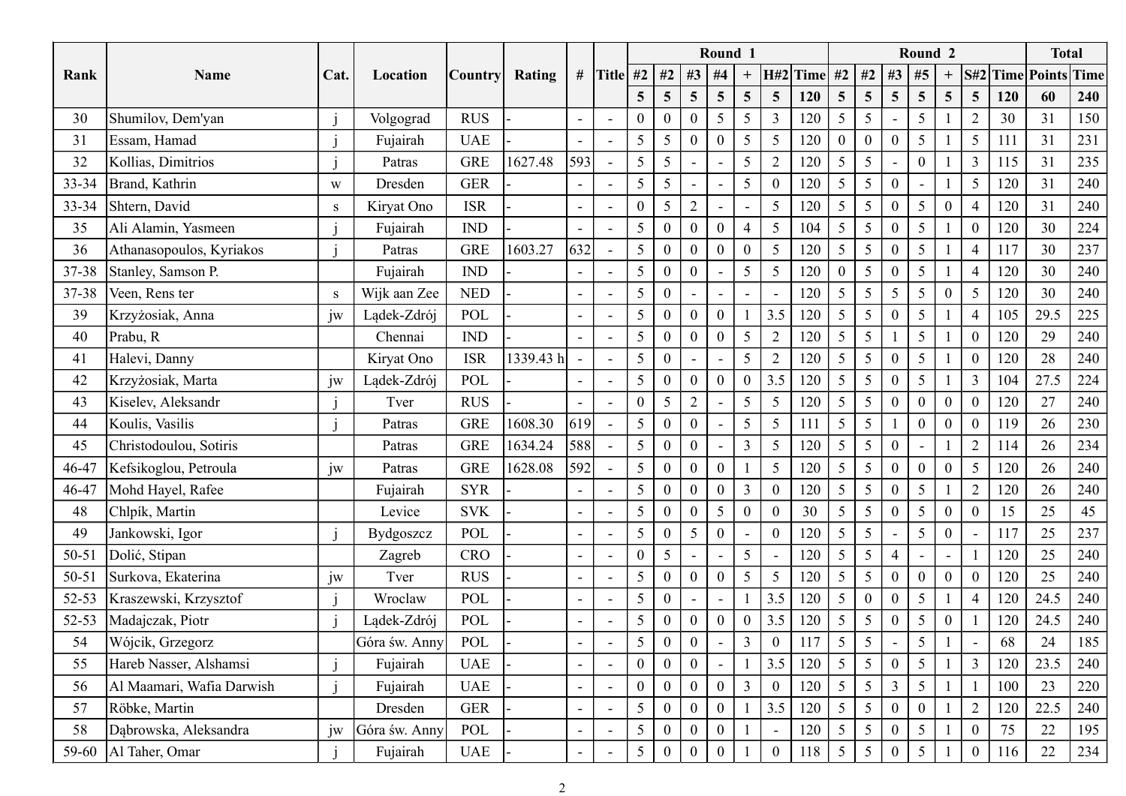|                          |                                                                                                                                                                                                                                                                                                     |               |                                                                                                        |                                                          |                          |                          |                                 |                           |                                 |                                                           |                                                               |                                                                                                                                                                                                                                                                                                                                                              |                                                                |                                        |                                                                                                |                                                                                             |                                                                                                                                                                                                                                    |                                                                                                                                                                                                                                                                                                                                                                                                                                                                                                                                                                                |                                                                                                                                                                |                                                                                                                                                                                                                                                                                                                                                                  |                                                                                                                                                                                                                   | 240                                                                                                                                                                                                                                        |
|--------------------------|-----------------------------------------------------------------------------------------------------------------------------------------------------------------------------------------------------------------------------------------------------------------------------------------------------|---------------|--------------------------------------------------------------------------------------------------------|----------------------------------------------------------|--------------------------|--------------------------|---------------------------------|---------------------------|---------------------------------|-----------------------------------------------------------|---------------------------------------------------------------|--------------------------------------------------------------------------------------------------------------------------------------------------------------------------------------------------------------------------------------------------------------------------------------------------------------------------------------------------------------|----------------------------------------------------------------|----------------------------------------|------------------------------------------------------------------------------------------------|---------------------------------------------------------------------------------------------|------------------------------------------------------------------------------------------------------------------------------------------------------------------------------------------------------------------------------------|--------------------------------------------------------------------------------------------------------------------------------------------------------------------------------------------------------------------------------------------------------------------------------------------------------------------------------------------------------------------------------------------------------------------------------------------------------------------------------------------------------------------------------------------------------------------------------|----------------------------------------------------------------------------------------------------------------------------------------------------------------|------------------------------------------------------------------------------------------------------------------------------------------------------------------------------------------------------------------------------------------------------------------------------------------------------------------------------------------------------------------|-------------------------------------------------------------------------------------------------------------------------------------------------------------------------------------------------------------------|--------------------------------------------------------------------------------------------------------------------------------------------------------------------------------------------------------------------------------------------|
| Shumilov, Dem'yan        |                                                                                                                                                                                                                                                                                                     | Volgograd     | <b>RUS</b>                                                                                             |                                                          | $\overline{\phantom{a}}$ | $\overline{\phantom{a}}$ | 0                               | $\Omega$                  |                                 | 5                                                         |                                                               | -3                                                                                                                                                                                                                                                                                                                                                           | 120                                                            | $\mathfrak{S}$                         | 5                                                                                              |                                                                                             |                                                                                                                                                                                                                                    |                                                                                                                                                                                                                                                                                                                                                                                                                                                                                                                                                                                |                                                                                                                                                                |                                                                                                                                                                                                                                                                                                                                                                  |                                                                                                                                                                                                                   | 150                                                                                                                                                                                                                                        |
| Essam, Hamad             |                                                                                                                                                                                                                                                                                                     | Fujairah      | <b>UAE</b>                                                                                             |                                                          | $\overline{\phantom{0}}$ | $\sim$                   | 5                               | $5\overline{)}$           |                                 | $\boldsymbol{0}$                                          |                                                               | $\overline{5}$                                                                                                                                                                                                                                                                                                                                               | 120                                                            | $\overline{0}$                         | $\boldsymbol{0}$                                                                               |                                                                                             |                                                                                                                                                                                                                                    |                                                                                                                                                                                                                                                                                                                                                                                                                                                                                                                                                                                |                                                                                                                                                                |                                                                                                                                                                                                                                                                                                                                                                  |                                                                                                                                                                                                                   | 231                                                                                                                                                                                                                                        |
| Kollias, Dimitrios       |                                                                                                                                                                                                                                                                                                     | Patras        | <b>GRE</b>                                                                                             | 1627.48                                                  |                          | $\sim$                   | $5\overline{)}$                 | 5                         |                                 |                                                           |                                                               | 2                                                                                                                                                                                                                                                                                                                                                            | 120                                                            | $5\overline{)}$                        | $5\overline{)}$                                                                                |                                                                                             |                                                                                                                                                                                                                                    |                                                                                                                                                                                                                                                                                                                                                                                                                                                                                                                                                                                |                                                                                                                                                                |                                                                                                                                                                                                                                                                                                                                                                  |                                                                                                                                                                                                                   | 235                                                                                                                                                                                                                                        |
|                          | W                                                                                                                                                                                                                                                                                                   | Dresden       | <b>GER</b>                                                                                             |                                                          | $\sim$                   | $\overline{\phantom{a}}$ | 5                               | 5                         |                                 |                                                           | $5\overline{)}$                                               | $\boldsymbol{0}$                                                                                                                                                                                                                                                                                                                                             | 120                                                            | $5\overline{)}$                        | $\overline{5}$                                                                                 |                                                                                             |                                                                                                                                                                                                                                    |                                                                                                                                                                                                                                                                                                                                                                                                                                                                                                                                                                                |                                                                                                                                                                |                                                                                                                                                                                                                                                                                                                                                                  |                                                                                                                                                                                                                   | 240                                                                                                                                                                                                                                        |
|                          | S                                                                                                                                                                                                                                                                                                   | Kiryat Ono    | <b>ISR</b>                                                                                             |                                                          | $\overline{\phantom{a}}$ | $\overline{\phantom{a}}$ | $\theta$                        | $5\overline{)}$           | $\overline{2}$                  |                                                           |                                                               | 5                                                                                                                                                                                                                                                                                                                                                            | 120                                                            | $5\overline{)}$                        | 5                                                                                              |                                                                                             |                                                                                                                                                                                                                                    |                                                                                                                                                                                                                                                                                                                                                                                                                                                                                                                                                                                |                                                                                                                                                                |                                                                                                                                                                                                                                                                                                                                                                  |                                                                                                                                                                                                                   | 240                                                                                                                                                                                                                                        |
| Ali Alamin, Yasmeen      |                                                                                                                                                                                                                                                                                                     | Fujairah      | <b>IND</b>                                                                                             |                                                          | $\sim$                   | $\overline{\phantom{a}}$ | 5                               | 0                         |                                 | $\boldsymbol{0}$                                          |                                                               | 5                                                                                                                                                                                                                                                                                                                                                            | 104                                                            | $\overline{5}$                         | $\overline{5}$                                                                                 |                                                                                             |                                                                                                                                                                                                                                    |                                                                                                                                                                                                                                                                                                                                                                                                                                                                                                                                                                                |                                                                                                                                                                |                                                                                                                                                                                                                                                                                                                                                                  |                                                                                                                                                                                                                   | 224                                                                                                                                                                                                                                        |
| Athanasopoulos, Kyriakos |                                                                                                                                                                                                                                                                                                     | Patras        | <b>GRE</b>                                                                                             | 1603.27                                                  |                          | $\sim$                   | $\mathfrak{H}$                  | $\mathbf{0}$              |                                 | $\boldsymbol{0}$                                          |                                                               | 5                                                                                                                                                                                                                                                                                                                                                            | 120                                                            | 5 <sup>5</sup>                         | $\overline{5}$                                                                                 |                                                                                             |                                                                                                                                                                                                                                    |                                                                                                                                                                                                                                                                                                                                                                                                                                                                                                                                                                                |                                                                                                                                                                |                                                                                                                                                                                                                                                                                                                                                                  |                                                                                                                                                                                                                   | 237                                                                                                                                                                                                                                        |
| Stanley, Samson P.       |                                                                                                                                                                                                                                                                                                     | Fujairah      | <b>IND</b>                                                                                             |                                                          | $\sim$                   | $\overline{\phantom{a}}$ | 5                               | $\theta$                  |                                 | $\overline{a}$                                            | 5                                                             | 5                                                                                                                                                                                                                                                                                                                                                            | 120                                                            | $\overline{0}$                         | 5                                                                                              |                                                                                             |                                                                                                                                                                                                                                    |                                                                                                                                                                                                                                                                                                                                                                                                                                                                                                                                                                                |                                                                                                                                                                |                                                                                                                                                                                                                                                                                                                                                                  |                                                                                                                                                                                                                   | 240                                                                                                                                                                                                                                        |
|                          | S                                                                                                                                                                                                                                                                                                   | Wijk aan Zee  | <b>NED</b>                                                                                             |                                                          |                          | $\overline{\phantom{a}}$ | 5                               | $\boldsymbol{0}$          |                                 | $\overline{\phantom{a}}$                                  | $\overline{\phantom{a}}$                                      |                                                                                                                                                                                                                                                                                                                                                              | 120                                                            | $5\overline{)}$                        | 5                                                                                              |                                                                                             |                                                                                                                                                                                                                                    |                                                                                                                                                                                                                                                                                                                                                                                                                                                                                                                                                                                |                                                                                                                                                                |                                                                                                                                                                                                                                                                                                                                                                  |                                                                                                                                                                                                                   | 240                                                                                                                                                                                                                                        |
|                          | jw                                                                                                                                                                                                                                                                                                  | Lądek-Zdrój   | POL                                                                                                    |                                                          |                          | $\sim$                   | 5 <sup>5</sup>                  | $\overline{0}$            |                                 | $\boldsymbol{0}$                                          |                                                               |                                                                                                                                                                                                                                                                                                                                                              |                                                                |                                        |                                                                                                |                                                                                             |                                                                                                                                                                                                                                    |                                                                                                                                                                                                                                                                                                                                                                                                                                                                                                                                                                                |                                                                                                                                                                |                                                                                                                                                                                                                                                                                                                                                                  |                                                                                                                                                                                                                   | 225                                                                                                                                                                                                                                        |
| Prabu, R                 |                                                                                                                                                                                                                                                                                                     | Chennai       | IND                                                                                                    |                                                          |                          | $\sim$                   | $5\overline{)}$                 | $\overline{0}$            |                                 | $\overline{0}$                                            |                                                               | $\overline{2}$                                                                                                                                                                                                                                                                                                                                               | 120                                                            | 5 <sup>5</sup>                         | $5\overline{)}$                                                                                |                                                                                             |                                                                                                                                                                                                                                    |                                                                                                                                                                                                                                                                                                                                                                                                                                                                                                                                                                                |                                                                                                                                                                |                                                                                                                                                                                                                                                                                                                                                                  |                                                                                                                                                                                                                   | 240                                                                                                                                                                                                                                        |
| Halevi, Danny            |                                                                                                                                                                                                                                                                                                     | Kiryat Ono    | <b>ISR</b>                                                                                             |                                                          |                          | $\overline{\phantom{a}}$ | $5\overline{)}$                 | $\mathbf{0}$              |                                 |                                                           |                                                               | $\overline{2}$                                                                                                                                                                                                                                                                                                                                               | 120                                                            | $5\overline{)}$                        | 5                                                                                              |                                                                                             |                                                                                                                                                                                                                                    |                                                                                                                                                                                                                                                                                                                                                                                                                                                                                                                                                                                |                                                                                                                                                                |                                                                                                                                                                                                                                                                                                                                                                  |                                                                                                                                                                                                                   | 240                                                                                                                                                                                                                                        |
| Krzyżosiak, Marta        | jw                                                                                                                                                                                                                                                                                                  |               | POL                                                                                                    |                                                          |                          | $\overline{\phantom{a}}$ | 5                               | $\overline{0}$            | $\overline{0}$                  | $\boldsymbol{0}$                                          |                                                               |                                                                                                                                                                                                                                                                                                                                                              | 120                                                            | 5 <sup>5</sup>                         | $5\overline{)}$                                                                                |                                                                                             |                                                                                                                                                                                                                                    |                                                                                                                                                                                                                                                                                                                                                                                                                                                                                                                                                                                |                                                                                                                                                                |                                                                                                                                                                                                                                                                                                                                                                  |                                                                                                                                                                                                                   | 224                                                                                                                                                                                                                                        |
| Kiselev, Aleksandr       |                                                                                                                                                                                                                                                                                                     | Tver          | <b>RUS</b>                                                                                             |                                                          |                          |                          | $\mathbf{0}$                    | $5\overline{)}$           | 2                               |                                                           |                                                               | $5\overline{)}$                                                                                                                                                                                                                                                                                                                                              | 120                                                            | $5 \mid$                               | $5\overline{)}$                                                                                |                                                                                             |                                                                                                                                                                                                                                    |                                                                                                                                                                                                                                                                                                                                                                                                                                                                                                                                                                                |                                                                                                                                                                |                                                                                                                                                                                                                                                                                                                                                                  |                                                                                                                                                                                                                   | 240                                                                                                                                                                                                                                        |
| Koulis, Vasilis          |                                                                                                                                                                                                                                                                                                     | Patras        | ${\rm GRE}$                                                                                            | 1608.30                                                  |                          | $\sim$                   | $5\overline{)}$                 | $\overline{0}$            |                                 |                                                           |                                                               | $\overline{5}$                                                                                                                                                                                                                                                                                                                                               | 111                                                            | 5 <sup>5</sup>                         | 5                                                                                              |                                                                                             |                                                                                                                                                                                                                                    |                                                                                                                                                                                                                                                                                                                                                                                                                                                                                                                                                                                |                                                                                                                                                                |                                                                                                                                                                                                                                                                                                                                                                  |                                                                                                                                                                                                                   | 230                                                                                                                                                                                                                                        |
| Christodoulou, Sotiris   |                                                                                                                                                                                                                                                                                                     | Patras        | ${\rm GRE}$                                                                                            | 1634.24                                                  |                          | $\sim$                   | $\mathfrak{H}$                  | $\bf{0}$                  |                                 |                                                           |                                                               | $5\overline{)}$                                                                                                                                                                                                                                                                                                                                              | 120                                                            | $5\overline{)}$                        | 5                                                                                              |                                                                                             |                                                                                                                                                                                                                                    |                                                                                                                                                                                                                                                                                                                                                                                                                                                                                                                                                                                |                                                                                                                                                                |                                                                                                                                                                                                                                                                                                                                                                  |                                                                                                                                                                                                                   | 234                                                                                                                                                                                                                                        |
|                          | jw                                                                                                                                                                                                                                                                                                  | Patras        | ${\tt GRE}$                                                                                            | 1628.08                                                  |                          | $\sim$                   | $5\overline{)}$                 | $\overline{0}$            |                                 | $\mathbf{0}$                                              |                                                               | $\overline{5}$                                                                                                                                                                                                                                                                                                                                               | 120                                                            | $5 \mid$                               | $5\overline{)}$                                                                                |                                                                                             |                                                                                                                                                                                                                                    |                                                                                                                                                                                                                                                                                                                                                                                                                                                                                                                                                                                |                                                                                                                                                                |                                                                                                                                                                                                                                                                                                                                                                  |                                                                                                                                                                                                                   | 240                                                                                                                                                                                                                                        |
|                          |                                                                                                                                                                                                                                                                                                     | Fujairah      | <b>SYR</b>                                                                                             |                                                          |                          | $\sim$                   | 5                               | $\theta$                  |                                 | $\mathbf{0}$                                              |                                                               | $\bf{0}$                                                                                                                                                                                                                                                                                                                                                     | 120                                                            | $5\overline{)}$                        | $\overline{5}$                                                                                 |                                                                                             |                                                                                                                                                                                                                                    |                                                                                                                                                                                                                                                                                                                                                                                                                                                                                                                                                                                |                                                                                                                                                                |                                                                                                                                                                                                                                                                                                                                                                  |                                                                                                                                                                                                                   | 240                                                                                                                                                                                                                                        |
| Chlpík, Martin           |                                                                                                                                                                                                                                                                                                     | Levice        | <b>SVK</b>                                                                                             |                                                          |                          | $\overline{\phantom{a}}$ | $5\overline{)}$                 | $\overline{0}$            |                                 | 5                                                         |                                                               | $\mathbf{0}$                                                                                                                                                                                                                                                                                                                                                 | 30                                                             | 5 <sup>5</sup>                         | 5                                                                                              |                                                                                             |                                                                                                                                                                                                                                    |                                                                                                                                                                                                                                                                                                                                                                                                                                                                                                                                                                                |                                                                                                                                                                |                                                                                                                                                                                                                                                                                                                                                                  |                                                                                                                                                                                                                   | 45                                                                                                                                                                                                                                         |
| Jankowski, Igor          |                                                                                                                                                                                                                                                                                                     | Bydgoszcz     | POL                                                                                                    |                                                          | $\overline{\phantom{0}}$ | $\sim$                   | $5\overline{)}$                 | $\mathbf{0}$              | $5\overline{)}$                 | $\mathbf{0}$                                              | $\blacksquare$                                                | $\boldsymbol{0}$                                                                                                                                                                                                                                                                                                                                             | 120                                                            | $5 \mid$                               | $5\overline{)}$                                                                                |                                                                                             |                                                                                                                                                                                                                                    |                                                                                                                                                                                                                                                                                                                                                                                                                                                                                                                                                                                |                                                                                                                                                                |                                                                                                                                                                                                                                                                                                                                                                  |                                                                                                                                                                                                                   | 237                                                                                                                                                                                                                                        |
|                          |                                                                                                                                                                                                                                                                                                     | Zagreb        | CRO                                                                                                    |                                                          |                          | $\sim$                   | $\mathbf{0}$                    | $5\overline{)}$           |                                 |                                                           |                                                               | $\overline{\phantom{a}}$                                                                                                                                                                                                                                                                                                                                     | 120                                                            | 5 <sup>5</sup>                         | 5                                                                                              |                                                                                             |                                                                                                                                                                                                                                    |                                                                                                                                                                                                                                                                                                                                                                                                                                                                                                                                                                                |                                                                                                                                                                |                                                                                                                                                                                                                                                                                                                                                                  |                                                                                                                                                                                                                   | 240                                                                                                                                                                                                                                        |
|                          | jw                                                                                                                                                                                                                                                                                                  | Tver          | <b>RUS</b>                                                                                             |                                                          | $\sim$                   | $\overline{\phantom{a}}$ | 5                               | $\overline{0}$            |                                 | $\mathbf{0}$                                              | $\overline{5}$                                                | $\overline{5}$                                                                                                                                                                                                                                                                                                                                               | 120                                                            | 5 <sup>5</sup>                         | 5                                                                                              |                                                                                             |                                                                                                                                                                                                                                    |                                                                                                                                                                                                                                                                                                                                                                                                                                                                                                                                                                                |                                                                                                                                                                |                                                                                                                                                                                                                                                                                                                                                                  |                                                                                                                                                                                                                   | 240                                                                                                                                                                                                                                        |
| Kraszewski, Krzysztof    |                                                                                                                                                                                                                                                                                                     | Wroclaw       | POL                                                                                                    |                                                          |                          | $\blacksquare$           | 5                               | $\overline{0}$            |                                 |                                                           |                                                               |                                                                                                                                                                                                                                                                                                                                                              | 120                                                            | $5\overline{)}$                        | $\theta$                                                                                       |                                                                                             |                                                                                                                                                                                                                                    |                                                                                                                                                                                                                                                                                                                                                                                                                                                                                                                                                                                |                                                                                                                                                                |                                                                                                                                                                                                                                                                                                                                                                  |                                                                                                                                                                                                                   | 240                                                                                                                                                                                                                                        |
|                          |                                                                                                                                                                                                                                                                                                     |               | POL                                                                                                    |                                                          |                          | $\overline{\phantom{a}}$ | 5                               | $\overline{0}$            |                                 | $\boldsymbol{0}$                                          |                                                               |                                                                                                                                                                                                                                                                                                                                                              | 120                                                            | $5 \mid$                               | $\overline{5}$                                                                                 |                                                                                             |                                                                                                                                                                                                                                    |                                                                                                                                                                                                                                                                                                                                                                                                                                                                                                                                                                                |                                                                                                                                                                |                                                                                                                                                                                                                                                                                                                                                                  |                                                                                                                                                                                                                   | 240                                                                                                                                                                                                                                        |
|                          |                                                                                                                                                                                                                                                                                                     | Góra św. Anny | POL                                                                                                    |                                                          |                          | $\sim$                   | $5\overline{)}$                 | $\overline{0}$            |                                 |                                                           |                                                               | $\mathbf{0}$                                                                                                                                                                                                                                                                                                                                                 | 117                                                            |                                        | $5\overline{)}$                                                                                |                                                                                             |                                                                                                                                                                                                                                    |                                                                                                                                                                                                                                                                                                                                                                                                                                                                                                                                                                                |                                                                                                                                                                |                                                                                                                                                                                                                                                                                                                                                                  |                                                                                                                                                                                                                   | 185                                                                                                                                                                                                                                        |
| Hareb Nasser, Alshamsi   |                                                                                                                                                                                                                                                                                                     |               | <b>UAE</b>                                                                                             |                                                          | $\blacksquare$           | $\overline{\phantom{a}}$ | $\overline{0}$                  | $\overline{0}$            |                                 |                                                           |                                                               | 3.5                                                                                                                                                                                                                                                                                                                                                          |                                                                | 5 <sup>5</sup>                         | 5                                                                                              |                                                                                             |                                                                                                                                                                                                                                    |                                                                                                                                                                                                                                                                                                                                                                                                                                                                                                                                                                                |                                                                                                                                                                |                                                                                                                                                                                                                                                                                                                                                                  |                                                                                                                                                                                                                   | 240                                                                                                                                                                                                                                        |
|                          |                                                                                                                                                                                                                                                                                                     |               |                                                                                                        |                                                          | $\overline{\phantom{0}}$ | $\sim$                   | $\mathbf{0}$                    | $\overline{0}$            |                                 | $\mathbf{0}$                                              |                                                               | $\boldsymbol{0}$                                                                                                                                                                                                                                                                                                                                             |                                                                |                                        | $5\overline{)}$                                                                                |                                                                                             |                                                                                                                                                                                                                                    |                                                                                                                                                                                                                                                                                                                                                                                                                                                                                                                                                                                |                                                                                                                                                                |                                                                                                                                                                                                                                                                                                                                                                  |                                                                                                                                                                                                                   | 220                                                                                                                                                                                                                                        |
|                          |                                                                                                                                                                                                                                                                                                     |               |                                                                                                        |                                                          |                          | $\sim$                   |                                 | $\overline{0}$            |                                 | $\mathbf{0}$                                              |                                                               |                                                                                                                                                                                                                                                                                                                                                              |                                                                |                                        |                                                                                                |                                                                                             |                                                                                                                                                                                                                                    |                                                                                                                                                                                                                                                                                                                                                                                                                                                                                                                                                                                |                                                                                                                                                                |                                                                                                                                                                                                                                                                                                                                                                  |                                                                                                                                                                                                                   | 240                                                                                                                                                                                                                                        |
|                          |                                                                                                                                                                                                                                                                                                     |               |                                                                                                        |                                                          | $\overline{\phantom{0}}$ | $\sim$                   | $5\overline{)}$                 | $\theta$                  |                                 | $\mathbf{0}$                                              |                                                               | $\sim$                                                                                                                                                                                                                                                                                                                                                       |                                                                |                                        |                                                                                                |                                                                                             |                                                                                                                                                                                                                                    |                                                                                                                                                                                                                                                                                                                                                                                                                                                                                                                                                                                |                                                                                                                                                                |                                                                                                                                                                                                                                                                                                                                                                  |                                                                                                                                                                                                                   | 195                                                                                                                                                                                                                                        |
|                          |                                                                                                                                                                                                                                                                                                     |               |                                                                                                        |                                                          |                          |                          |                                 |                           |                                 |                                                           |                                                               |                                                                                                                                                                                                                                                                                                                                                              |                                                                |                                        |                                                                                                |                                                                                             |                                                                                                                                                                                                                                    |                                                                                                                                                                                                                                                                                                                                                                                                                                                                                                                                                                                |                                                                                                                                                                |                                                                                                                                                                                                                                                                                                                                                                  |                                                                                                                                                                                                                   | 234                                                                                                                                                                                                                                        |
|                          | Name<br>Brand, Kathrin<br>Shtern, David<br>Veen, Rens ter<br>Krzyżosiak, Anna<br>Kefsikoglou, Petroula<br>Mohd Hayel, Rafee<br>Dolić, Stipan<br>Surkova, Ekaterina<br>Madajczak, Piotr<br>Wójcik, Grzegorz<br>Al Maamari, Wafia Darwish<br>Röbke, Martin<br>Dąbrowska, Aleksandra<br>Al Taher, Omar | Cat.<br>jw    | Location<br>Lądek-Zdrój<br>Lądek-Zdrój<br>Fujairah<br>Fujairah<br>Dresden<br>Góra św. Anny<br>Fujairah | Country<br><b>UAE</b><br><b>GER</b><br>POL<br><b>UAE</b> | <b>Rating</b>            | 1339.43 h                | 593<br>632<br>619<br>588<br>592 | $5\phantom{.0}$<br>5<br>5 | $5\overline{)}$<br>$\mathbf{0}$ | $\overline{5}$<br>$\overline{0}$<br>$\degree$ 0 $\degree$ | # Title #2   #2   #3   #4<br>$\overline{5}$<br>$\overline{0}$ | Round 1<br>$+$<br>$\overline{5}$<br>5 <sup>5</sup><br>5 <sup>5</sup><br>$5\overline{)}$<br>$\overline{4}$<br>$\boldsymbol{0}$<br>$5\overline{)}$<br>$5\overline{)}$<br>$\overline{0}$<br>$5\overline{)}$<br>$5\overline{)}$<br>$\overline{3}$<br>$\overline{3}$<br>$\overline{0}$<br>$5\overline{)}$<br>$\boldsymbol{0}$<br>$\overline{3}$<br>$\overline{3}$ | $\overline{5}$<br>3.5<br>3.5<br>3.5<br>3.5<br>$\boldsymbol{0}$ | 120<br>120<br>120<br>120<br>120<br>118 | 5 <sup>5</sup><br>$5 \mid$<br>5 <sup>5</sup><br>$5 \mid$<br>$5\overline{)}$<br>$5\overline{)}$ | $\overline{5}$<br>$\vert$ 1   3.5   120   5   5  <br>$5\overline{)}$<br>$\overline{5}$<br>5 | $H#2$ Time #2 #2 #3<br>$5\overline{)}$<br>$\theta$<br>$\theta$<br>$\theta$<br>5<br>$\boldsymbol{0}$<br>$\mathbf{0}$<br>$\mathbf{0}$<br>$\mathbf{0}$<br>$\overline{0}$<br>$\Omega$<br>$\boldsymbol{0}$<br>3<br>$\theta$<br>$\Omega$ | $\frac{45}{5}$<br>5 <sub>5</sub><br>$5\overline{)}$<br>5 <sup>5</sup><br>$\overline{0}$<br>$\sim$<br>$5\overline{)}$<br>$5\overline{)}$<br>$5\overline{)}$<br>$5\overline{)}$<br>5 <sup>5</sup><br>5 <sup>5</sup><br>5 <sup>5</sup><br>$5\overline{)}$<br>5 <sup>5</sup><br>$\overline{0}$<br>$\overline{0}$<br>$\sim$<br>$\overline{0}$<br>$5\overline{)}$<br>5 <sup>5</sup><br>5 <sup>5</sup><br>$\sim$<br>$\overline{0}$<br>$5\overline{)}$<br>5 <sup>5</sup><br>5 <sup>5</sup><br>5 <sup>5</sup><br>5 <sup>5</sup><br>$\overline{0}$<br>$5\overline{)}$<br>$5\overline{)}$ | Round <sub>2</sub><br>$+$<br>$5\overline{)}$<br>$\overline{0}$<br>$\mathbf{1}$<br>$\mathbf{0}$<br>$\mathbf{0}$<br>$\Omega$<br>$\mathbf{0}$<br>$\boldsymbol{0}$ | $\overline{5}$<br>$\overline{2}$<br>$5\overline{)}$<br>3<br>5<br>$\overline{0}$<br>$\overline{4}$<br>$\overline{4}$<br>5<br>$\overline{4}$<br>$\overline{0}$<br>$\overline{0}$<br>$\overline{3}$<br>$\boldsymbol{0}$<br>$\theta$<br>$\overline{2}$<br>5<br>$\overline{2}$<br>$\overline{0}$<br>$\Omega$<br>3<br>$\overline{2}$<br>$\overline{0}$<br>$\mathbf{0}$ | 120<br>30<br>111<br>115<br>120<br>120<br>120<br>117<br>120<br>120<br>105<br>120<br>120<br>104<br>120<br>119<br>114<br>120<br>120<br>15<br>117<br>120<br>120<br>120<br>120<br>68<br>120<br>100<br>120<br>75<br>116 | <b>Total</b><br>S#2 Time Points Time<br>60<br>31<br>31<br>31<br>31<br>31<br>30<br>30<br>30<br>30<br>29.5<br>29<br>28<br>27.5<br>27<br>26<br>26<br>26<br>26<br>25<br>25<br>25<br>25<br>24.5<br>24.5<br>24<br>23.5<br>23<br>22.5<br>22<br>22 |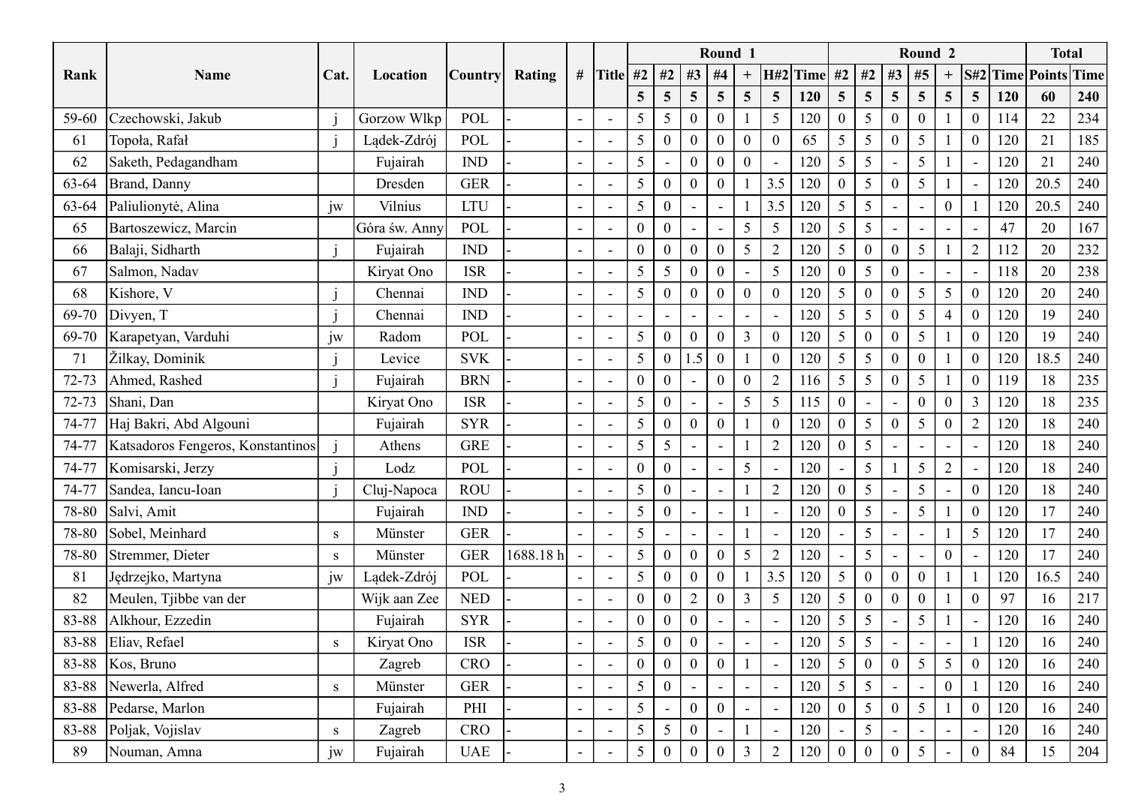|           |                                          |           |                           |                      |           |                          |                                                      |                                  |                                  |                 | Round 1                                      |                          |                        |            |                                    |                     |                          | Round 2                                     |                                             |           |          | <b>Total</b>                |
|-----------|------------------------------------------|-----------|---------------------------|----------------------|-----------|--------------------------|------------------------------------------------------|----------------------------------|----------------------------------|-----------------|----------------------------------------------|--------------------------|------------------------|------------|------------------------------------|---------------------|--------------------------|---------------------------------------------|---------------------------------------------|-----------|----------|-----------------------------|
| Rank      | Name                                     | Cat.      | Location                  | <b>Country</b>       | Rating    |                          | # Title #2   #2   #3   #4                            |                                  |                                  |                 |                                              | $\boldsymbol{+}$         | $H#2$ Time #2 #2 #3 #5 |            |                                    |                     |                          |                                             | $+$                                         |           |          | <b>S#2 Time Points Time</b> |
|           |                                          |           |                           |                      |           |                          |                                                      | $5\overline{)}$                  | $\overline{5}$                   | $5\overline{)}$ | $5\overline{)}$                              | $5\overline{)}$          | 5 <sup>5</sup>         | 120        | 5 <sup>5</sup>                     | 5 <sup>5</sup>      | $\overline{5}$           | $\overline{5}$                              | $5\overline{)}$<br>5 <sup>5</sup>           | 120       | 60       | 240                         |
| 59-60     | Czechowski, Jakub                        |           | Gorzow Wlkp               | POL                  |           |                          |                                                      | 5                                | $5\overline{)}$                  | $\theta$        | $\boldsymbol{0}$                             |                          | 5                      | 120        | $\overline{0}$                     | $5\overline{)}$     |                          | $\boldsymbol{0}$                            |                                             | 114       | 22       | 234                         |
| 61        | Topoła, Rafał                            |           | Lądek-Zdrój               | POL                  |           | $\overline{\phantom{a}}$ |                                                      | 5                                | $\boldsymbol{0}$                 | $\overline{0}$  | $\boldsymbol{0}$                             | $\boldsymbol{0}$         | $\overline{0}$         | 65         | $5\overline{)}$                    | 5 <sup>5</sup>      | $\Omega$                 | $5\overline{)}$                             | $\overline{0}$                              | 120       | 21       | 185                         |
| 62        | Saketh, Pedagandham                      |           | Fujairah                  | <b>IND</b>           |           |                          | $\overline{\phantom{a}}$                             | 5                                |                                  | $\overline{0}$  | $\boldsymbol{0}$                             | $\mathbf{0}$             |                        | 120        | $5\overline{)}$                    | $5\overline{)}$     |                          | 5                                           |                                             | 120       | 21       | 240                         |
| 63-64     | Brand, Danny                             |           | Dresden                   | <b>GER</b>           |           | $\overline{\phantom{a}}$ |                                                      | $5\overline{)}$                  | $\boldsymbol{0}$                 | $\mathbf{0}$    | $\boldsymbol{0}$                             |                          | 3.5                    | 120        | $\overline{0}$                     | $\overline{5}$      | $\Omega$                 | $\overline{5}$                              |                                             | 120       | 20.5     | 240                         |
| 63-64     | Paliulionytė, Alina                      | jw        | Vilnius                   | <b>LTU</b>           |           |                          |                                                      | 5                                | $\theta$                         |                 | $\qquad \qquad -$                            |                          | 3.5                    | 120        | $5\overline{)}$                    | 5                   |                          |                                             | $\overline{0}$                              | 120       | 20.5     | 240                         |
| 65        | Bartoszewicz, Marcin<br>Balaji, Sidharth |           | Góra św. Anny<br>Fujairah | POL<br><b>IND</b>    |           |                          | $\overline{\phantom{a}}$                             | $\boldsymbol{0}$<br>$\mathbf{0}$ | $\boldsymbol{0}$<br>$\mathbf{0}$ | $\overline{0}$  | $\overline{\phantom{a}}$<br>$\boldsymbol{0}$ | 5<br>$\mathfrak{H}$      | 5                      | 120<br>120 | $5\overline{)}$<br>$5\overline{)}$ | $5\overline{)}$     | $\theta$                 | $\overline{\phantom{a}}$<br>$5\overline{)}$ | $\sim$<br>2                                 | 47<br>112 | 20<br>20 | 167<br>232                  |
| 66<br>67  | Salmon, Nadav                            |           | Kiryat Ono                | <b>ISR</b>           |           | $\overline{\phantom{a}}$ |                                                      | 5                                | $5\overline{)}$                  | $\overline{0}$  | $\boldsymbol{0}$                             |                          | $\overline{2}$<br>5    | 120        | $\boldsymbol{0}$                   | $\overline{0}$<br>5 | $\Omega$                 | $\sim$                                      |                                             | 118       | 20       | 238                         |
| 68        | Kishore, V                               |           | Chennai                   | <b>IND</b>           |           |                          | $\overline{\phantom{a}}$<br>$\overline{\phantom{a}}$ | $\mathfrak{S}$                   | $\boldsymbol{0}$                 | $\theta$        | $\boldsymbol{0}$                             | $\boldsymbol{0}$         | $\overline{0}$         | 120        | $5\overline{)}$                    | $\theta$            | $\Omega$                 | 5 <sup>5</sup>                              | $\sim$<br>$5\overline{)}$<br>$\overline{0}$ | 120       | 20       | 240                         |
|           | 69-70 Divyen, $T$                        |           | Chennai                   | <b>IND</b>           |           | $\overline{\phantom{a}}$ | $\overline{\phantom{a}}$                             | $\overline{\phantom{a}}$         | $\blacksquare$                   | $\sim$          | $\sim$                                       | $\overline{\phantom{a}}$ | $\sim$                 | 120        | $\frac{1}{2}$ 1                    | 5 <sup>5</sup>      | $\boldsymbol{0}$         | $5\overline{)}$                             | $\overline{4}$<br>$\overline{0}$            | 120       | 19       | 240                         |
| 69-70     | Karapetyan, Varduhi                      | jw        | Radom                     | POL                  |           | $\sim$                   |                                                      | $5\overline{)}$                  | $\overline{0}$                   | $\overline{0}$  | $\boldsymbol{0}$                             | $\mathfrak{Z}$           | $\overline{0}$         | 120        | $5\overline{)}$                    |                     | $\Omega$                 | $5\overline{)}$                             | $\overline{0}$                              | 120       | 19       | 240                         |
| 71        | Žilkay, Dominik                          |           | Levice                    | <b>SVK</b>           |           |                          |                                                      | 5                                | $\mathbf{0}$                     | 1.5             | $\overline{0}$                               |                          | $\mathbf{0}$           | 120        | $5\overline{)}$                    | $5\overline{)}$     |                          | $\overline{0}$                              | $\mathbf{0}$                                | 120       | 18.5     | 240                         |
| $72 - 73$ | Ahmed, Rashed                            |           | Fujairah                  | $\operatorname{BRN}$ |           |                          |                                                      | $\boldsymbol{0}$                 | $\mathbf{0}$                     |                 | $\boldsymbol{0}$                             | $\boldsymbol{0}$         | $\overline{2}$         | 116        | $5\overline{)}$                    | $5\overline{)}$     | $\boldsymbol{0}$         | $5\overline{)}$                             | $\overline{0}$                              | 119       | 18       | 235                         |
| $72 - 73$ | Shani, Dan                               |           | Kiryat Ono                | <b>ISR</b>           |           |                          |                                                      | 5                                | $\mathbf{0}$                     |                 |                                              | $5\overline{)}$          | 5                      | 115        | $\overline{0}$                     |                     |                          | $\mathbf{0}$                                | $\overline{0}$<br>$\overline{3}$            | 120       | 18       | 235                         |
| 74-77     | Haj Bakri, Abd Algouni                   |           | Fujairah                  | <b>SYR</b>           |           |                          | $\overline{\phantom{a}}$                             | 5                                | $\mathbf{0}$                     | $\theta$        | $\boldsymbol{0}$                             |                          | $\overline{0}$         | 120        | $\overline{0}$                     | 5                   |                          | $5\overline{)}$                             | $\overline{0}$                              | 120       | 18       | 240                         |
| 74-77     | Katsadoros Fengeros, Konstantinos        |           | Athens                    | GRE                  |           |                          |                                                      | 5                                | $5\overline{)}$                  |                 | $\overline{\phantom{a}}$                     |                          | $\overline{2}$         | 120        | $\boldsymbol{0}$                   | 5 <sup>5</sup>      |                          |                                             | $\sim$                                      | 120       | 18       | 240                         |
| 74-77     | Komisarski, Jerzy                        |           | Lodz                      | $\operatorname{POL}$ |           |                          | $\overline{\phantom{a}}$                             | $\boldsymbol{0}$                 | $\boldsymbol{0}$                 |                 | $\blacksquare$                               | $5\overline{)}$          |                        | 120        | $\sim$                             | $5\overline{)}$     |                          | $5\overline{)}$                             | $\overline{2}$                              | 120       | 18       | 240                         |
| 74-77     | Sandea, Iancu-Ioan                       |           | Cluj-Napoca               | ROU                  |           |                          |                                                      | 5                                | $\overline{0}$                   |                 |                                              |                          | $\overline{2}$         | 120        | $\overline{0}$                     | $5\overline{)}$     |                          | $\overline{5}$                              | $\overline{0}$                              | 120       | 18       | 240                         |
| 78-80     | Salvi, Amit                              |           | Fujairah                  | IND                  |           |                          | $\overline{\phantom{a}}$                             | 5                                | $\mathbf{0}$                     |                 |                                              |                          |                        | 120        | $\overline{0}$                     | $5\overline{)}$     |                          | $5\overline{)}$                             |                                             | 120       | 17       | 240                         |
| 78-80     | Sobel, Meinhard                          | ${\bf S}$ | Münster                   | <b>GER</b>           |           |                          | $\overline{\phantom{a}}$                             | $5\overline{)}$                  | $\blacksquare$                   | $\sim$          | $\blacksquare$                               |                          |                        | 120        | $\sim$                             | $5\overline{)}$     |                          |                                             | $5\overline{)}$                             | 120       | 17       | 240                         |
| 78-80     | Stremmer, Dieter                         | ${\bf S}$ | Münster                   | ${\tt GER}$          | 1688.18 h |                          |                                                      | 5                                | $\boldsymbol{0}$                 | $\overline{0}$  | $\boldsymbol{0}$                             | 5                        | $\overline{2}$         | 120        | $\sim$                             | $5\overline{)}$     |                          |                                             | $\overline{0}$                              | 120       | 17       | 240                         |
| 81        | Jędrzejko, Martyna                       | jw        | Lądek-Zdrój               | POL                  |           |                          | $\sim$                                               | 5 <sup>5</sup>                   | $\boldsymbol{0}$                 | $\overline{0}$  | $\overline{0}$                               |                          | 3.5                    | 120        | $\begin{array}{ c }$ 5             |                     |                          | $\overline{0}$                              |                                             | 120       | 16.5     | 240                         |
| 82        | Meulen, Tjibbe van der                   |           | Wijk aan Zee              | <b>NED</b>           |           |                          | $\overline{\phantom{a}}$                             | $\boldsymbol{0}$                 | $\mathbf{0}$                     | $\overline{2}$  | $\overline{0}$                               | $\overline{3}$           | $5\overline{)}$        | 120        | $5\overline{)}$                    |                     |                          | $\mathbf{0}$                                | $\overline{0}$                              | 97        | 16       | 217                         |
| 83-88     | Alkhour, Ezzedin                         |           | Fujairah                  | <b>SYR</b>           |           |                          |                                                      | $\boldsymbol{0}$                 | $\mathbf{0}$                     | $\overline{0}$  |                                              |                          |                        | 120        | $5\overline{)}$                    | $5\overline{)}$     |                          | 5                                           |                                             | 120       | 16       | 240                         |
| 83-88     | Eliav, Refael                            | ${\bf S}$ | Kiryat Ono                | <b>ISR</b>           |           |                          |                                                      | $5\overline{)}$                  | $\boldsymbol{0}$                 | $\overline{0}$  |                                              | $\sim$                   |                        | 120        | $5\overline{)}$                    | 5 <sup>5</sup>      |                          |                                             |                                             | 120       | 16       | 240                         |
| 83-88     | Kos, Bruno                               |           | Zagreb                    | CRO                  |           |                          |                                                      | $\overline{0}$                   | $\mathbf{0}$                     | $\theta$        | $\overline{0}$                               |                          |                        | 120        | $5\overline{)}$                    |                     |                          | $\overline{5}$                              | $\overline{5}$                              | 120       | 16       | 240                         |
| 83-88     | Newerla, Alfred                          | ${\bf S}$ | Münster                   | <b>GER</b>           |           |                          |                                                      | 5                                | $\boldsymbol{0}$                 |                 | $\sim$                                       | $\sim$                   |                        | 120        | $5\overline{)}$                    | $5\overline{)}$     |                          | $\sim$                                      | $\overline{0}$                              | 120       | 16       | 240                         |
| 83-88     | Pedarse, Marlon                          |           | Fujairah                  | PHI                  |           |                          |                                                      | $5\overline{)}$                  |                                  | $\overline{0}$  | $\overline{0}$                               | $\blacksquare$           |                        | 120        | $\overline{0}$                     | $5\overline{)}$     | $\mathbf{0}$             | $5\overline{)}$                             | $\mathbf{0}$                                | 120       | 16       | 240                         |
| 83-88     | Poljak, Vojislav                         | S         | Zagreb                    | CRO                  |           | $\sim$                   |                                                      | $5\overline{)}$                  | $5\overline{)}$                  | $\overline{0}$  | $\overline{\phantom{a}}$                     |                          |                        | 120        | $\sim$                             | 5 <sup>5</sup>      | $\overline{\phantom{a}}$ | $\blacksquare$                              | $\sim$<br>$\overline{\phantom{a}}$          | 120       | 16       | 240                         |
| 89        | Nouman, Amna                             | jw        | Fujairah                  | <b>UAE</b>           |           |                          |                                                      | $5\overline{)}$                  | $\boldsymbol{0}$                 | $\overline{0}$  | $\boldsymbol{0}$                             | $\overline{3}$           | $\overline{2}$         | 120        | $\overline{0}$                     |                     |                          | $5\overline{)}$                             | $\overline{0}$                              | 84        | 15       | 204                         |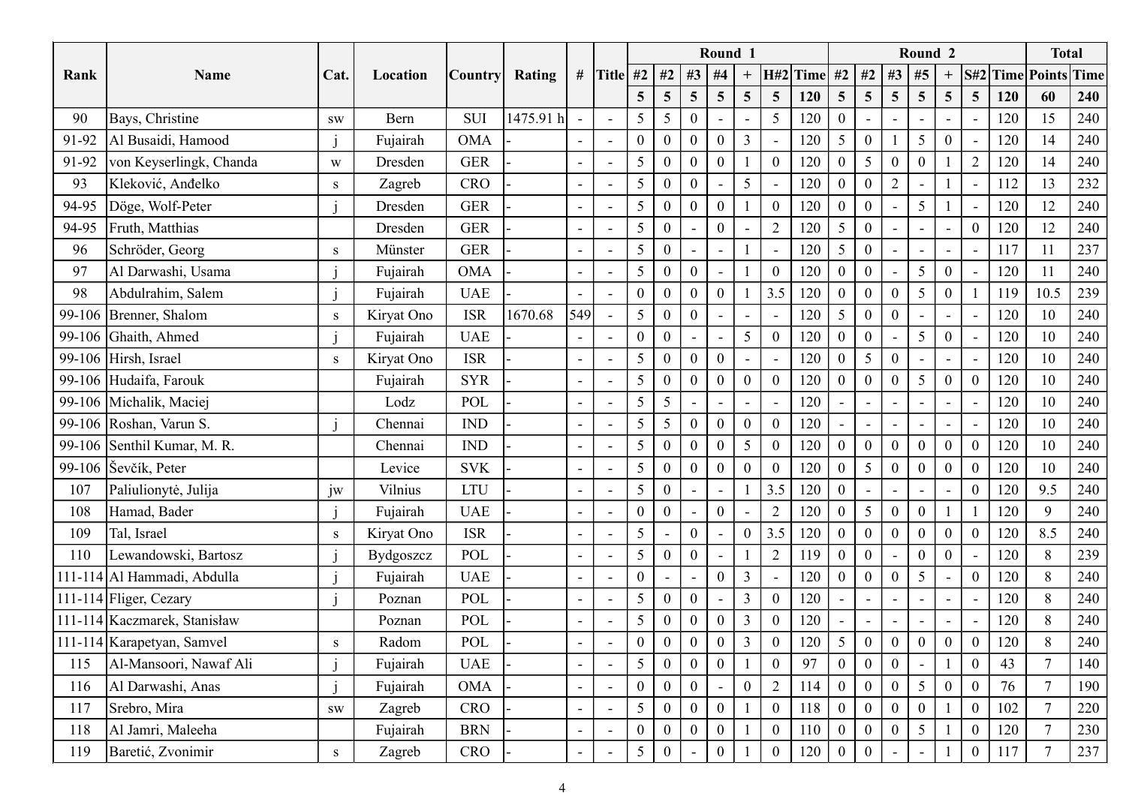|       |                              |               |            |                |           |                          |                          |                  |                  |                 | Round 1                         |                  |                          |     |                   |                  |                          | Round 2          |                  |                  |     | <b>Total</b>   |                             |
|-------|------------------------------|---------------|------------|----------------|-----------|--------------------------|--------------------------|------------------|------------------|-----------------|---------------------------------|------------------|--------------------------|-----|-------------------|------------------|--------------------------|------------------|------------------|------------------|-----|----------------|-----------------------------|
| Rank  | Name                         | Cat.          | Location   | <b>Country</b> | Rating    |                          | # Title #2   #2   #3     |                  |                  |                 | #4                              | $\boldsymbol{+}$ | $H#2$ Time #2 #2 #3 #5   |     |                   |                  |                          |                  | $+$              |                  |     |                | <b>S#2 Time Points Time</b> |
|       |                              |               |            |                |           |                          |                          | $5\overline{)}$  | $\overline{5}$   | $5\overline{)}$ | 5 <sup>5</sup>                  | $5\overline{)}$  | 5 <sup>5</sup>           | 120 | 5 <sup>5</sup>    | 5 <sup>5</sup>   | $\overline{5}$           | $\overline{5}$   | 5 <sup>5</sup>   | 5 <sup>5</sup>   | 120 | 60             | 240                         |
| 90    | Bays, Christine              | $\mathbf{SW}$ | Bern       | <b>SUI</b>     | 1475.91 h | $\overline{\phantom{a}}$ |                          | $5\overline{)}$  | $5\overline{)}$  | $\theta$        |                                 |                  | 5                        | 120 | $\boldsymbol{0}$  |                  |                          |                  |                  |                  | 120 | 15             | 240                         |
| 91-92 | Al Busaidi, Hamood           |               | Fujairah   | <b>OMA</b>     |           | $\overline{\phantom{a}}$ | $\overline{\phantom{a}}$ | $\boldsymbol{0}$ | $\mathbf{0}$     | $\overline{0}$  | $\boldsymbol{0}$                | $\mathfrak{Z}$   | $\overline{\phantom{a}}$ | 120 | $5\overline{)}$   | $\theta$         |                          | 5 <sup>5</sup>   | $\boldsymbol{0}$ |                  | 120 | 14             | 240                         |
| 91-92 | von Keyserlingk, Chanda      | W             | Dresden    | <b>GER</b>     |           |                          |                          | 5                | $\boldsymbol{0}$ | $\overline{0}$  | $\boldsymbol{0}$                |                  | $\boldsymbol{0}$         | 120 | $\mathbf{0}$      | $5\overline{)}$  | $\theta$                 | $\boldsymbol{0}$ |                  | 2                | 120 | 14             | 240                         |
| 93    | Kleković, Anđelko            | S             | Zagreb     | <b>CRO</b>     |           | $\overline{\phantom{a}}$ |                          | $5\overline{)}$  | $\boldsymbol{0}$ | $\mathbf{0}$    | $\overline{\phantom{a}}$        | 5                |                          | 120 | $\boldsymbol{0}$  |                  | $\overline{2}$           | $\blacksquare$   |                  |                  | 112 | 13             | 232                         |
| 94-95 | Döge, Wolf-Peter             |               | Dresden    | <b>GER</b>     |           |                          |                          | 5                | $\boldsymbol{0}$ | $\overline{0}$  | $\boldsymbol{0}$                |                  | $\theta$                 | 120 | $\boldsymbol{0}$  |                  |                          | $5\overline{)}$  |                  |                  | 120 | 12             | 240                         |
| 94-95 | Fruth, Matthias              |               | Dresden    | <b>GER</b>     |           |                          | $\overline{\phantom{a}}$ | $\mathfrak{H}$   | $\boldsymbol{0}$ | $\sim$          | $\boldsymbol{0}$                |                  | $\overline{2}$           | 120 | $5\overline{)}$   |                  |                          | $\sim$           | $\sim$           | $\theta$         | 120 | 12             | 240                         |
| 96    | Schröder, Georg              | S             | Münster    | <b>GER</b>     |           |                          |                          | 5                | $\boldsymbol{0}$ |                 | $\overline{\phantom{a}}$        |                  |                          | 120 | $5\overline{)}$   | $\theta$         |                          | $\sim$           |                  |                  | 117 | 11             | 237                         |
| 97    | Al Darwashi, Usama           |               | Fujairah   | <b>OMA</b>     |           | $\overline{\phantom{a}}$ | $\overline{\phantom{a}}$ | 5                | $\boldsymbol{0}$ | $\overline{0}$  | $\overline{\phantom{0}}$        |                  | $\theta$                 | 120 | $\mathbf{0}$      |                  |                          | $5\overline{)}$  | $\overline{0}$   |                  | 120 |                | 240                         |
| 98    | Abdulrahim, Salem            |               | Fujairah   | <b>UAE</b>     |           |                          | $\overline{\phantom{a}}$ | $\mathbf{0}$     | $\boldsymbol{0}$ | $\theta$        | $\boldsymbol{0}$                |                  | 3.5                      | 120 | $\boldsymbol{0}$  | $\theta$         | $\theta$                 | $5\overline{)}$  | $\overline{0}$   |                  | 119 | 10.5           | 239                         |
|       | 99-106 Brenner, Shalom       | S             | Kiryat Ono | <b>ISR</b>     | 1670.68   | 549                      | $\sim$                   | $5 \mid$         | $\overline{0}$   | $\mathbf{0}$    | $\sim$                          | $\sim$           | $\sim$                   |     | $120 \mid 5 \mid$ | $\overline{0}$   | $\boldsymbol{0}$         | $\sim$           | $\sim$           | $\sim$           | 120 | 10             | 240                         |
|       | 99-106 Ghaith, Ahmed         |               | Fujairah   | <b>UAE</b>     |           |                          |                          | $\overline{0}$   | $\overline{0}$   | $\sim$          | $\sim$ $^{-1}$                  | $5\overline{)}$  | $\overline{0}$           | 120 | $\overline{0}$    | $\cdot$ 0        | $\sim$                   | $5\overline{)}$  | $\overline{0}$   |                  | 120 | 10             | 240                         |
|       | 99-106 Hirsh, Israel         | S             | Kiryat Ono | <b>ISR</b>     |           |                          | $\blacksquare$           | 5                | $\mathbf{0}$     | $\overline{0}$  | $\overline{1}$ 0 $\overline{1}$ |                  |                          | 120 | $\overline{0}$    | 5                | $\Omega$                 |                  |                  |                  | 120 | 10             | 240                         |
|       | 99-106 Hudaifa, Farouk       |               | Fujairah   | <b>SYR</b>     |           |                          |                          | 5                | $\mathbf{0}$     | $\overline{0}$  | $\overline{0}$                  | $\boldsymbol{0}$ | $\mathbf{0}$             | 120 | $\boldsymbol{0}$  | $\boldsymbol{0}$ | $\boldsymbol{0}$         | $5\overline{)}$  | $\overline{0}$   | $\boldsymbol{0}$ | 120 | 10             | 240                         |
|       | 99-106 Michalik, Maciej      |               | Lodz       | POL            |           |                          |                          | 5                | $5\overline{)}$  |                 | $\blacksquare$                  |                  |                          | 120 | $\sim$            |                  |                          |                  |                  |                  | 120 | 10             | 240                         |
|       | 99-106 Roshan, Varun S.      |               | Chennai    | <b>IND</b>     |           |                          | $\overline{\phantom{a}}$ | 5                | $5\overline{)}$  | $\Omega$        | $\boldsymbol{0}$                | $\boldsymbol{0}$ | $\mathbf{0}$             | 120 | $\sim$            |                  |                          |                  | $\sim$           |                  | 120 | 10             | 240                         |
|       | 99-106 Senthil Kumar, M. R.  |               | Chennai    | <b>IND</b>     |           |                          |                          | $5\overline{)}$  | $\mathbf{0}$     | $\overline{0}$  | $\boldsymbol{0}$                | 5                | $\overline{0}$           | 120 | $\mathbf{0}$      | $\mathbf{0}$     | $\overline{0}$           | $\overline{0}$   | $\overline{0}$   | $\overline{0}$   | 120 | 10             | 240                         |
|       | 99-106 Sevčík, Peter         |               | Levice     | <b>SVK</b>     |           |                          |                          | $5\overline{)}$  | $\mathbf{0}$     | $\overline{0}$  | $\vert 0 \vert$                 | $\boldsymbol{0}$ | $\mathbf{0}$             | 120 | $\boldsymbol{0}$  | $5\overline{)}$  | $\boldsymbol{0}$         | $\bf{0}$         | $\overline{0}$   | $\overline{0}$   | 120 | 10             | 240                         |
| 107   | Paliulionytė, Julija         | jw            | Vilnius    | LTU            |           |                          |                          | 5                | $\mathbf{0}$     |                 | $\blacksquare$                  |                  | 3.5                      | 120 | $\overline{0}$    | $\sim$           | $\overline{\phantom{a}}$ | $\sim$           |                  | $\overline{0}$   | 120 | 9.5            | 240                         |
| 108   | Hamad, Bader                 |               | Fujairah   | <b>UAE</b>     |           |                          | $\overline{\phantom{a}}$ | $\mathbf{0}$     | $\overline{0}$   |                 | $\mathbf{0}$                    |                  |                          | 120 | $\overline{0}$    | $5\overline{)}$  |                          | $\overline{0}$   |                  |                  | 120 | 9              | 240                         |
| 109   | Tal, Israel                  | ${\bf S}$     | Kiryat Ono | ISR            |           |                          | $\blacksquare$           | 5                | $\blacksquare$   | $\overline{0}$  | $\sim$                          | $\boldsymbol{0}$ | 3.5                      | 120 | $\mathbf{0}$      | $\overline{0}$   | $\overline{0}$           | $\boldsymbol{0}$ | $\mathbf{0}$     | $\overline{0}$   | 120 | 8.5            | 240                         |
| 110   | Lewandowski, Bartosz         |               | Bydgoszcz  | POL            |           |                          |                          | $5\overline{)}$  | $\mathbf{0}$     | $\overline{0}$  |                                 |                  | $\overline{2}$           | 119 | $\overline{0}$    | $\overline{0}$   |                          | $\overline{0}$   | $\mathbf{0}$     |                  | 120 | 8              | 239                         |
|       | 111-114 Al Hammadi, Abdulla  |               | Fujairah   | <b>UAE</b>     |           |                          |                          | $\boldsymbol{0}$ | $\sim$           | $\sim$          | $\boldsymbol{0}$                | $\mathfrak{Z}$   |                          | 120 | $\overline{0}$    | $\Omega$         | $\Omega$                 | $5\overline{)}$  | $\sim$           | $\boldsymbol{0}$ | 120 | 8              | 240                         |
|       | 111-114 Fliger, Cezary       |               | Poznan     | POL            |           |                          | $\overline{\phantom{a}}$ | 5                | $\mathbf{0}$     | $\overline{0}$  |                                 | $\overline{3}$   | $\overline{0}$           | 120 |                   |                  |                          |                  |                  |                  | 120 | 8              | 240                         |
|       | 111-114 Kaczmarek, Stanisław |               | Poznan     | POL            |           |                          |                          | $5\overline{)}$  | $\boldsymbol{0}$ | $\overline{0}$  | $\overline{0}$                  | $\mathfrak{Z}$   | $\mathbf{0}$             | 120 | $\sim$            |                  |                          |                  | $\sim$           |                  | 120 | 8              | 240                         |
|       | 111-114 Karapetyan, Samvel   | S             | Radom      | POL            |           |                          |                          | $\overline{0}$   | $\mathbf{0}$     | $\overline{0}$  | $\overline{0}$                  | $\overline{3}$   | $\mathbf{0}$             | 120 | $5\overline{)}$   | $\overline{0}$   | $\mathbf{0}$             | $\overline{0}$   | $\overline{0}$   | $\overline{0}$   | 120 | 8              | 240                         |
| 115   | Al-Mansoori, Nawaf Ali       |               | Fujairah   | <b>UAE</b>     |           |                          |                          | 5                | $\overline{0}$   | $\theta$        | $\overline{0}$                  |                  | $\overline{0}$           | 97  | $\overline{0}$    |                  |                          |                  |                  | $\overline{0}$   | 43  |                | 140                         |
| 116   | Al Darwashi, Anas            | j             | Fujairah   | OMA            |           |                          |                          | $\boldsymbol{0}$ | $\mathbf{0}$     | $\overline{0}$  | $\blacksquare$                  | $\overline{0}$   | $\overline{2}$           | 114 | $\boldsymbol{0}$  |                  | $\Omega$                 | $5\overline{)}$  | $\overline{0}$   | $\overline{0}$   | 76  | $\overline{7}$ | 190                         |
| 117   | Srebro, Mira                 | ${\bf SW}$    | Zagreb     | CRO            |           |                          |                          | 5 <sup>5</sup>   | $\mathbf{0}$     | $\overline{0}$  | $\overline{0}$                  |                  | $\mathbf{0}$             | 118 | $\boldsymbol{0}$  | $\overline{0}$   | $\mathbf{0}$             | $\mathbf{0}$     |                  | $\overline{0}$   | 102 | $\overline{7}$ | 220                         |
| 118   | Al Jamri, Maleeha            |               | Fujairah   | <b>BRN</b>     |           | $\sim$                   |                          | $\boldsymbol{0}$ | $\overline{0}$   | $\overline{0}$  | $\overline{0}$                  |                  | $\overline{0}$           | 110 | $\overline{0}$    | $\theta$         | $\Omega$                 | $5\overline{)}$  |                  | $\overline{0}$   | 120 | $\overline{7}$ | 230                         |
|       | Baretić, Zvonimir<br>119     | S             | Zagreb     | CRO            |           |                          |                          | $5\overline{)}$  | $\boldsymbol{0}$ |                 | $\boldsymbol{0}$                |                  | $\overline{0}$           | 120 | $\overline{0}$    |                  |                          |                  |                  | $\overline{0}$   | 117 |                | 237                         |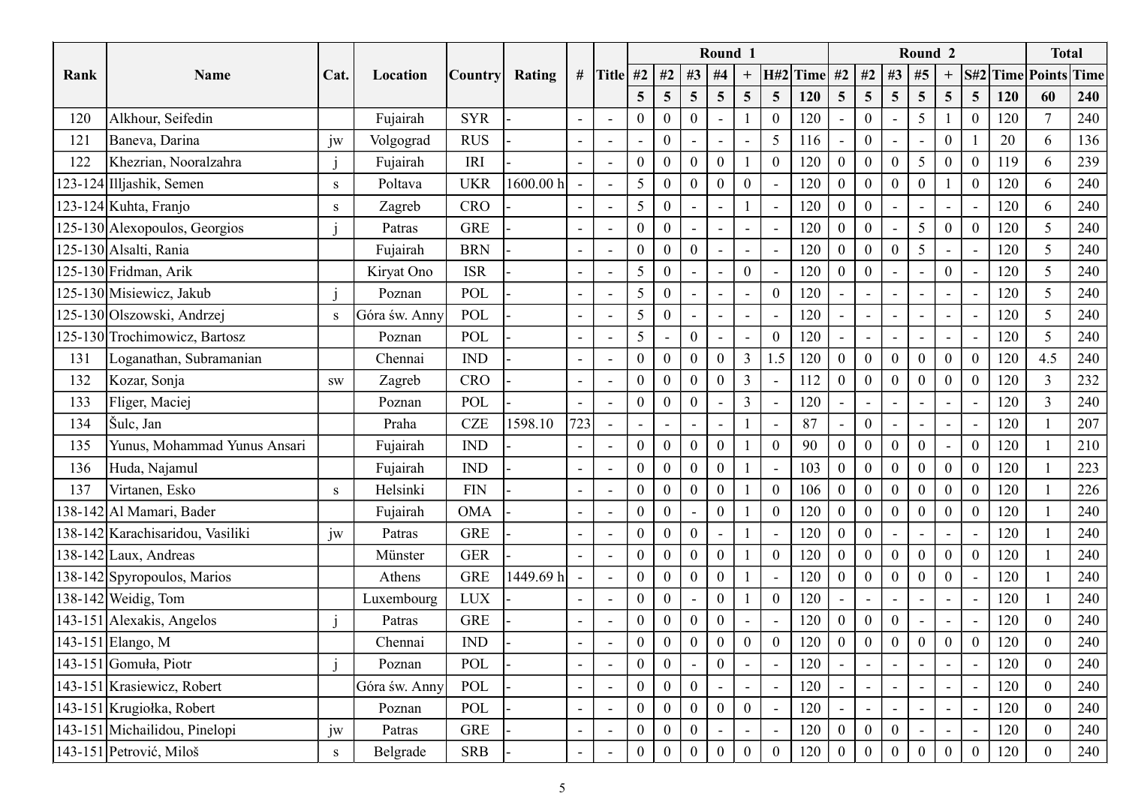|      |                                  |           |               |                      |           |                          |                          |                          |                          |                 | Round 1                  |                          |                          |                                |                          |                          |                          | Round 2                  |                                    |     |     | <b>Total</b>    |                             |
|------|----------------------------------|-----------|---------------|----------------------|-----------|--------------------------|--------------------------|--------------------------|--------------------------|-----------------|--------------------------|--------------------------|--------------------------|--------------------------------|--------------------------|--------------------------|--------------------------|--------------------------|------------------------------------|-----|-----|-----------------|-----------------------------|
| Rank | <b>Name</b>                      | Cat.      | Location      | <b>Country</b>       | Rating    |                          | # Title #2   #2   #3     |                          |                          |                 | #4                       | $\boldsymbol{+}$         |                          | $ H#2 $ Time #2   #2   #3   #5 |                          |                          |                          |                          | $+$                                |     |     |                 | <b>S#2 Time Points Time</b> |
|      |                                  |           |               |                      |           |                          |                          | $5\overline{)}$          | $\overline{5}$           | $5\overline{)}$ | $5\overline{)}$          | $5\overline{)}$          | 5 <sup>5</sup>           | 120                            | $5\overline{)}$          | 5 <sup>5</sup>           | $5\overline{)}$          | $\overline{5}$           | $5\overline{)}$<br>5 <sup>5</sup>  | 120 |     | 60              | 240                         |
| 120  | Alkhour, Seifedin                |           | Fujairah      | <b>SYR</b>           |           |                          | $\overline{\phantom{a}}$ | $\theta$                 | $\boldsymbol{0}$         | $\overline{0}$  |                          |                          | $\theta$                 | 120                            | $\overline{\phantom{a}}$ |                          |                          | $5\overline{)}$          |                                    | 120 |     |                 | 240                         |
| 121  | Baneva, Darina                   | jw        | Volgograd     | <b>RUS</b>           |           | $\overline{\phantom{a}}$ | $\overline{\phantom{a}}$ | $\overline{\phantom{a}}$ | $\mathbf{0}$             | $\sim$          | $\sim$                   | $\sim$                   | $\mathfrak{S}$           | 116                            | $\sim$                   | $\Omega$                 |                          | $\overline{\phantom{a}}$ | $\overline{0}$                     | 20  |     | 6               | 136                         |
| 122  | Khezrian, Nooralzahra            |           | Fujairah      | IRI                  |           |                          | $\overline{\phantom{a}}$ | $\mathbf{0}$             | $\boldsymbol{0}$         | $\overline{0}$  | $\boldsymbol{0}$         |                          | $\mathbf{0}$             | 120                            | $\overline{0}$           | $\left($                 | $\theta$                 | $5\overline{)}$          | $\mathbf{0}$<br>$\theta$           | 119 |     | 6               | 239                         |
|      | 123-124 Illjashik, Semen         | S         | Poltava       | <b>UKR</b>           | 1600.00 h |                          | $\overline{\phantom{a}}$ | $5\overline{)}$          | $\mathbf{0}$             | $\mathbf{0}$    | $\boldsymbol{0}$         | $\boldsymbol{0}$         |                          | 120                            | $\boldsymbol{0}$         |                          | $\Omega$                 | $\boldsymbol{0}$         |                                    |     | 120 | 6               | 240                         |
|      | 123-124 Kuhta, Franjo            | S         | Zagreb        | CRO                  |           |                          |                          | 5                        | $\boldsymbol{0}$         |                 | $\qquad \qquad -$        |                          |                          | 120                            | $\boldsymbol{0}$         |                          |                          |                          |                                    |     | 120 | 6               | 240                         |
|      | 125-130 Alexopoulos, Georgios    |           | Patras        | <b>GRE</b>           |           |                          | $\overline{\phantom{a}}$ | $\boldsymbol{0}$         | $\boldsymbol{0}$         | $\sim$          | $\overline{\phantom{a}}$ | $\overline{\phantom{a}}$ |                          | 120                            | $\boldsymbol{0}$         |                          |                          | $\overline{5}$           | $\overline{0}$<br>$\boldsymbol{0}$ |     | 120 | 5               | 240                         |
|      | 125-130 Alsalti, Rania           |           | Fujairah      | <b>BRN</b>           |           |                          |                          | $\boldsymbol{0}$         | $\boldsymbol{0}$         | $\overline{0}$  | $\overline{\phantom{a}}$ | $\sim$                   |                          | 120                            | $\boldsymbol{0}$         | $\theta$                 | $\overline{0}$           | $5\overline{)}$          | $\sim$                             | 120 |     | $\overline{5}$  | 240                         |
|      | 125-130 Fridman, Arik            |           | Kiryat Ono    | <b>ISR</b>           |           | $\overline{\phantom{a}}$ | $\overline{\phantom{a}}$ | $5\overline{)}$          | $\boldsymbol{0}$         | $\sim$          | $\overline{\phantom{a}}$ | $\boldsymbol{0}$         |                          | 120                            | $\mathbf{0}$             | $\left( \right)$         | $\overline{a}$           | $\overline{\phantom{a}}$ | $\overline{0}$                     |     | 120 | 5               | 240                         |
|      | 125-130 Misiewicz, Jakub         |           | Poznan        | POL                  |           |                          | $\overline{\phantom{a}}$ | $\mathfrak{S}$           | $\boldsymbol{0}$         | $\sim$          | $\sim$                   | $\sim$                   | $\overline{0}$           | 120                            | $\sim$                   | $\overline{\phantom{a}}$ | $\sim$                   | $\blacksquare$           | $\sim$                             | 120 |     | 5               | 240                         |
|      | 125-130 Olszowski, Andrzej       | S         | Góra św. Anny | POL                  |           | $\overline{\phantom{a}}$ | $\sim$                   | $5\overline{)}$          | $\boldsymbol{0}$         | $\sim$          | $\sim$                   | $\sim$                   | $\overline{\phantom{a}}$ | 120                            | $\sim$                   | $\sim$                   | $\sim$                   | $\sim$                   | $\sim$<br>$\sim$                   | 120 |     | $5\overline{)}$ | 240                         |
|      | 125-130 Trochimowicz, Bartosz    |           | Poznan        | POL                  |           |                          |                          | $\overline{5}$           |                          | $\overline{0}$  | $\sim$                   |                          | $\overline{0}$           | 120                            | $\sim$                   | $\sim$                   | $\overline{\phantom{a}}$ |                          | $\sim$<br>$\sim$                   | 120 |     | 5               | 240                         |
| 131  | Loganathan, Subramanian          |           | Chennai       | <b>IND</b>           |           |                          | $\overline{\phantom{a}}$ | $\mathbf{0}$             | $\mathbf{0}$             | $\overline{0}$  | $\overline{0}$           | $\mathfrak{Z}$           | 1.5                      | 120                            | $\overline{0}$           |                          | $\Omega$                 | $\overline{0}$           | $\overline{0}$<br>$\overline{0}$   | 120 |     | 4.5             | 240                         |
| 132  | Kozar, Sonja                     | <b>SW</b> | Zagreb        | CRO                  |           |                          |                          | $\boldsymbol{0}$         | $\mathbf{0}$             | $\overline{0}$  | $\mathbf{0}$             | $\mathfrak{Z}$           |                          | 112                            | $\mathbf{0}$             |                          | $\boldsymbol{0}$         | $\boldsymbol{0}$         | $\mathbf{0}$<br>$\overline{0}$     | 120 |     | $\overline{3}$  | 232                         |
| 133  | Fliger, Maciej                   |           | Poznan        | POL                  |           |                          |                          | $\mathbf{0}$             | $\overline{0}$           | $\overline{0}$  |                          | $\mathfrak{Z}$           |                          | 120                            | $\sim$                   |                          |                          |                          |                                    | 120 |     | 3               | 240                         |
| 134  | Šulc, Jan                        |           | Praha         | <b>CZE</b>           | 1598.10   | 723                      | $\overline{\phantom{a}}$ | $\overline{\phantom{a}}$ | $\overline{\phantom{a}}$ | $\sim$          | $\overline{\phantom{a}}$ |                          |                          | 87                             | $\sim$                   |                          |                          |                          | $\sim$                             | 120 |     |                 | 207                         |
| 135  | Yunus, Mohammad Yunus Ansari     |           | Fujairah      | <b>IND</b>           |           |                          | $\blacksquare$           | $\boldsymbol{0}$         | $\mathbf{0}$             | $\overline{0}$  | $\boldsymbol{0}$         |                          | $\overline{0}$           | 90                             | $\overline{0}$           |                          | $\Omega$                 | $\overline{0}$           | $\overline{0}$<br>$\sim$           | 120 |     |                 | 210                         |
| 136  | Huda, Najamul                    |           | Fujairah      | <b>IND</b>           |           |                          | $\overline{\phantom{a}}$ | $\vert 0 \vert$          | $\mathbf{0}$             | $\overline{0}$  | $\overline{0}$           |                          |                          | 103                            | $\mathbf{0}$             | $\boldsymbol{0}$         | $\mathbf{0}$             | $\boldsymbol{0}$         | $\overline{0}$<br>$\overline{0}$   | 120 |     |                 | 223                         |
| 137  | Virtanen, Esko                   | S         | Helsinki      | <b>FIN</b>           |           |                          |                          | $\boldsymbol{0}$         | $\mathbf{0}$             | $\overline{0}$  | $\boldsymbol{0}$         |                          | $\mathbf{0}$             | 106                            | $\overline{0}$           |                          |                          | $\Omega$                 | $\mathbf{0}$<br>$\overline{0}$     | 120 |     |                 | 226                         |
|      | 138-142 Al Mamari, Bader         |           | Fujairah      | OMA                  |           |                          | $\overline{\phantom{a}}$ | $\mathbf{0}$             | $\overline{0}$           |                 | $\mathbf{0}$             |                          | $\overline{0}$           | 120                            | $\overline{0}$           |                          | $\Omega$                 | $\theta$                 | $\overline{0}$                     | 120 |     |                 | 240                         |
|      | 138-142 Karachisaridou, Vasiliki | jw        | Patras        | <b>GRE</b>           |           |                          | $\blacksquare$           | $\boldsymbol{0}$         | $\boldsymbol{0}$         | $\overline{0}$  | $\blacksquare$           |                          |                          | 120                            | $\mathbf{0}$             | $\overline{0}$           |                          |                          | $\overline{\phantom{a}}$           | 120 |     |                 | 240                         |
|      | 138-142 Laux, Andreas            |           | Münster       | <b>GER</b>           |           |                          |                          | $\boldsymbol{0}$         | $\boldsymbol{0}$         | $\overline{0}$  | $\boldsymbol{0}$         |                          | $\boldsymbol{0}$         | 120                            | $\mathbf{0}$             |                          | $\theta$                 | $\overline{0}$           | $\mathbf{0}$                       | 120 |     |                 | 240                         |
|      | 138-142 Spyropoulos, Marios      |           | Athens        | <b>GRE</b>           | 1449.69 h |                          |                          | $\boldsymbol{0}$         | $\mathbf{0}$             | $\overline{0}$  | $\overline{0}$           |                          |                          | 120                            | $\overline{0}$           | $\Omega$                 | $\overline{0}$           | $\mathbf{0}$             | $\overline{0}$                     | 120 |     |                 | 240                         |
|      | 138-142 Weidig, Tom              |           | Luxembourg    | <b>LUX</b>           |           |                          | $\sim$                   | $\boldsymbol{0}$         | $\mathbf{0}$             |                 | $\mathbf{0}$             |                          | $\overline{0}$           | 120                            |                          |                          |                          |                          |                                    | 120 |     |                 | 240                         |
|      | 143-151 Alexakis, Angelos        |           | Patras        | ${\rm GRE}$          |           |                          |                          | $\boldsymbol{0}$         | $\boldsymbol{0}$         | $\overline{0}$  | $\boldsymbol{0}$         |                          |                          | 120                            | $\boldsymbol{0}$         |                          | $\mathbf{0}$             |                          | $\sim$                             | 120 |     | $\theta$        | 240                         |
|      | 143-151 Elango, M                |           | Chennai       | <b>IND</b>           |           |                          |                          | $\boldsymbol{0}$         | $\boldsymbol{0}$         | $\overline{0}$  | $\overline{0}$           | $\boldsymbol{0}$         | $\overline{0}$           | 120                            | $\boldsymbol{0}$         | $\overline{0}$           | $\boldsymbol{0}$         | $\boldsymbol{0}$         | $\overline{0}$<br>$\overline{0}$   | 120 |     | $\overline{0}$  | 240                         |
|      | 143-151 Gomuła, Piotr            |           | Poznan        | POL                  |           |                          | $\overline{\phantom{a}}$ | $\mathbf{0}$             | $\overline{0}$           |                 | $\overline{0}$           |                          |                          | 120                            | $\sim$                   | $\overline{\phantom{a}}$ | $\sim$                   |                          | $\sim$                             | 120 |     | $\Omega$        | 240                         |
|      | 143-151 Krasiewicz, Robert       |           | Góra św. Anny | POL                  |           |                          |                          | $\boldsymbol{0}$         | $\mathbf{0}$             | $\overline{0}$  | $\sim$                   | $\sim$                   |                          | 120                            | $\sim$                   | $\sim$                   | $\sim$                   |                          | $\sim$                             | 120 |     | $\overline{0}$  | 240                         |
|      | 143-151 Krugiołka, Robert        |           | Poznan        | $\operatorname{POL}$ |           |                          |                          | $\vert 0 \vert$          | $\mathbf{0}$             | $\overline{0}$  | $\vert 0 \vert$          | $\overline{0}$           |                          | 120                            | $\sim$                   | $\sim$                   | $\sim$                   |                          | $\sim$                             | 120 |     | $\overline{0}$  | 240                         |
|      | 143-151 Michailidou, Pinelopi    | jw        | Patras        | <b>GRE</b>           |           | $\sim$                   | $\overline{\phantom{a}}$ | $\boldsymbol{0}$         | $\mathbf{0}$             | $\overline{0}$  | $\sim$                   | $\sim$                   | $\overline{\phantom{a}}$ | 120                            | $\overline{0}$           |                          | $\theta$                 | $\blacksquare$           | $\sim$<br>$\overline{\phantom{a}}$ | 120 |     | $\bf{0}$        | 240                         |
|      | 143-151 Petrović, Miloš          | S         | Belgrade      | <b>SRB</b>           |           |                          | $\overline{\phantom{a}}$ | $\boldsymbol{0}$         | $\boldsymbol{0}$         | $\overline{0}$  | $\boldsymbol{0}$         | $\boldsymbol{0}$         | $\overline{0}$           | 120                            | $\overline{0}$           |                          | $\Omega$                 | $\mathbf{0}$             | $\overline{0}$                     | 120 |     | $\overline{0}$  | 240                         |